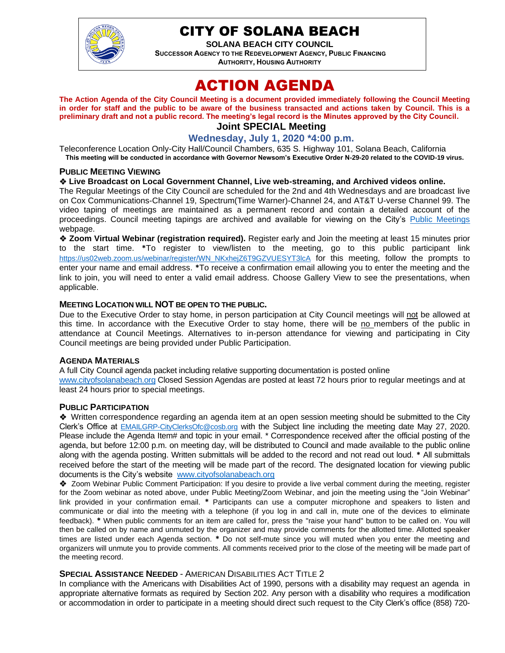

## CITY OF SOLANA BEACH

**SOLANA BEACH CITY COUNCIL SUCCESSOR AGENCY TO THE REDEVELOPMENT AGENCY, PUBLIC FINANCING AUTHORITY, HOUSING AUTHORITY** 

# ACTION AGENDA

**The Action Agenda of the City Council Meeting is a document provided immediately following the Council Meeting in order for staff and the public to be aware of the business transacted and actions taken by Council. This is a preliminary draft and not a public record. The meeting's legal record is the Minutes approved by the City Council. Joint SPECIAL Meeting**

## **Wednesday, July 1, 2020 \*4:00 p.m.**

Teleconference Location Only-City Hall/Council Chambers, 635 S. Highway 101, Solana Beach, California **This meeting will be conducted in accordance with Governor Newsom's Executive Order N-29-20 related to the COVID-19 virus.**

#### **PUBLIC MEETING VIEWING**

#### ❖ **Live Broadcast on Local Government Channel, Live web-streaming, and Archived videos online.**

The Regular Meetings of the City Council are scheduled for the 2nd and 4th Wednesdays and are broadcast live on Cox Communications-Channel 19, Spectrum(Time Warner)-Channel 24, and AT&T U-verse Channel 99. The video taping of meetings are maintained as a permanent record and contain a detailed account of the proceedings. Council meeting tapings are archived and available for viewing on the City's [Public Meetings](https://urldefense.proofpoint.com/v2/url?u=https-3A__www.ci.solana-2Dbeach.ca.us_index.asp-3FSEC-3DF0F1200D-2D21C6-2D4A88-2D8AE1-2D0BC07C1A81A7-26Type-3DB-5FBASIC&d=DwMFAg&c=euGZstcaTDllvimEN8b7jXrwqOf-v5A_CdpgnVfiiMM&r=1XAsCUuqwK_tji2t0s1uIQ&m=wny2RVfZJ2tN24LkqZmkUWNpwL_peNtTZUBlTBZiMM4&s=WwpcEQpHHkFen6nS6q2waMuQ_VMZ-i1YZ60lD-dYRRE&e=) webpage.

❖ **Zoom Virtual Webinar (registration required).** Register early and Join the meeting at least 15 minutes prior to the start time. **\***To register to view/listen to the meeting, go to this public participant link [https://us02web.zoom.us/webinar/register/WN\\_NKxhejZ6T9GZVUESYT3lcA](https://us02web.zoom.us/webinar/register/WN_NKxhejZ6T9GZVUESYT3lcA) for this meeting, follow the prompts to enter your name and email address. **\***To receive a confirmation email allowing you to enter the meeting and the link to join, you will need to enter a valid email address. Choose Gallery View to see the presentations, when applicable.

#### **MEETING LOCATION WILL NOT BE OPEN TO THE PUBLIC.**

Due to the Executive Order to stay home, in person participation at City Council meetings will not be allowed at this time. In accordance with the Executive Order to stay home, there will be no members of the public in attendance at Council Meetings. Alternatives to in-person attendance for viewing and participating in City Council meetings are being provided under Public Participation.

#### **AGENDA MATERIALS**

A full City Council agenda packet including relative supporting documentation is posted online [www.cityofsolanabeach.org](https://urldefense.proofpoint.com/v2/url?u=http-3A__www.cityofsolanabeach.org&d=DwQFAg&c=euGZstcaTDllvimEN8b7jXrwqOf-v5A_CdpgnVfiiMM&r=1XAsCUuqwK_tji2t0s1uIQ&m=wny2RVfZJ2tN24LkqZmkUWNpwL_peNtTZUBlTBZiMM4&s=6ATguqxJUOD7VVtloplAbyuyNaVcEh6Fl4q1iw55lCY&e=) Closed Session Agendas are posted at least 72 hours prior to regular meetings and at least 24 hours prior to special meetings.

#### **PUBLIC PARTICIPATION**

❖Written correspondence regarding an agenda item at an open session meeting should be submitted to the City Clerk's Office at [EMAILGRP-CityClerksOfc@cosb.org](mailto:EMAILGRP-CityClerksOfc@cosb.org) with the Subject line including the meeting date May 27, 2020. Please include the Agenda Item# and topic in your email. \* Correspondence received after the official posting of the agenda, but before 12:00 p.m. on meeting day, will be distributed to Council and made available to the public online along with the agenda posting. Written submittals will be added to the record and not read out loud. **\*** All submittals received before the start of the meeting will be made part of the record. The designated location for viewing public documents is the City's website [www.cityofsolanabeach.org](http://www.cityofsolanabeach.org/)

❖ Zoom Webinar Public Comment Participation: If you desire to provide a live verbal comment during the meeting, register for the Zoom webinar as noted above, under Public Meeting/Zoom Webinar, and join the meeting using the "Join Webinar" link provided in your confirmation email. **\*** Participants can use a computer microphone and speakers to listen and communicate or dial into the meeting with a telephone (if you log in and call in, mute one of the devices to eliminate feedback). **\*** When public comments for an item are called for, press the "raise your hand" button to be called on. You will then be called on by name and unmuted by the organizer and may provide comments for the allotted time. Allotted speaker times are listed under each Agenda section. **\*** Do not self-mute since you will muted when you enter the meeting and organizers will unmute you to provide comments. All comments received prior to the close of the meeting will be made part of the meeting record.

#### **SPECIAL ASSISTANCE NEEDED** - AMERICAN DISABILITIES ACT TITLE 2

In compliance with the Americans with Disabilities Act of 1990, persons with a disability may request an agenda in appropriate alternative formats as required by Section 202. Any person with a disability who requires a modification or accommodation in order to participate in a meeting should direct such request to the City Clerk's office (858) 720-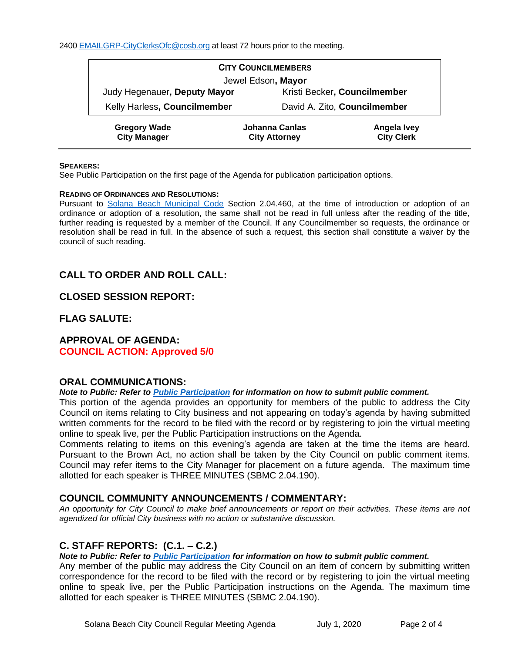| <b>CITY COUNCILMEMBERS</b>                 |                                        |                                  |  |
|--------------------------------------------|----------------------------------------|----------------------------------|--|
| Jewel Edson, Mayor                         |                                        |                                  |  |
| Judy Hegenauer, Deputy Mayor               | Kristi Becker, Councilmember           |                                  |  |
| Kelly Harless, Councilmember               |                                        | David A. Zito, Councilmember     |  |
| <b>Gregory Wade</b><br><b>City Manager</b> | Johanna Canlas<br><b>City Attorney</b> | Angela Ivey<br><b>City Clerk</b> |  |

#### **SPEAKERS:**

See Public Participation on the first page of the Agenda for publication participation options.

#### **READING OF ORDINANCES AND RESOLUTIONS:**

Pursuant to [Solana Beach Municipal Code](mailto:https://www.codepublishing.com/CA/SolanaBeach/) Section 2.04.460, at the time of introduction or adoption of an ordinance or adoption of a resolution, the same shall not be read in full unless after the reading of the title, further reading is requested by a member of the Council. If any Councilmember so requests, the ordinance or resolution shall be read in full. In the absence of such a request, this section shall constitute a waiver by the council of such reading.

## **CALL TO ORDER AND ROLL CALL:**

#### **CLOSED SESSION REPORT:**

**FLAG SALUTE:**

#### **APPROVAL OF AGENDA: COUNCIL ACTION: Approved 5/0**

#### **ORAL COMMUNICATIONS:**

#### *Note to Public: Refer to Public Participation for information on how to submit public comment.*

This portion of the agenda provides an opportunity for members of the public to address the City Council on items relating to City business and not appearing on today's agenda by having submitted written comments for the record to be filed with the record or by registering to join the virtual meeting online to speak live, per the Public Participation instructions on the Agenda.

Comments relating to items on this evening's agenda are taken at the time the items are heard. Pursuant to the Brown Act, no action shall be taken by the City Council on public comment items. Council may refer items to the City Manager for placement on a future agenda. The maximum time allotted for each speaker is THREE MINUTES (SBMC 2.04.190).

## **COUNCIL COMMUNITY ANNOUNCEMENTS / COMMENTARY:**

*An opportunity for City Council to make brief announcements or report on their activities. These items are not agendized for official City business with no action or substantive discussion.* 

## **C. STAFF REPORTS: (C.1. – C.2.)**

#### *Note to Public: Refer to Public Participation for information on how to submit public comment.*

Any member of the public may address the City Council on an item of concern by submitting written correspondence for the record to be filed with the record or by registering to join the virtual meeting online to speak live, per the Public Participation instructions on the Agenda. The maximum time allotted for each speaker is THREE MINUTES (SBMC 2.04.190).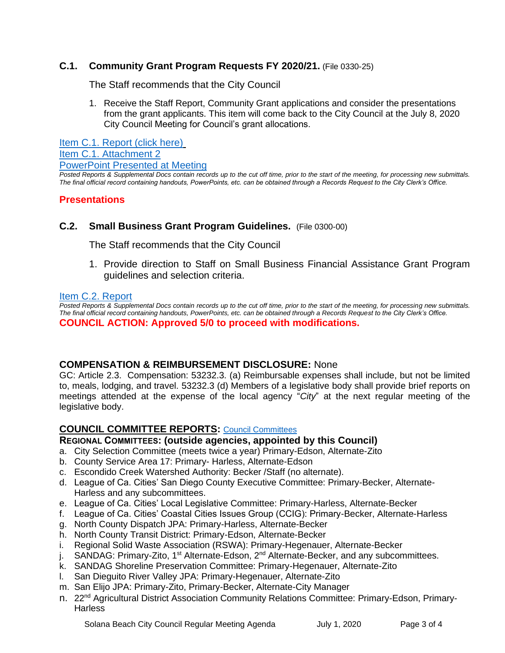## **C.1. Community Grant Program Requests FY 2020/21.** (File 0330-25)

The Staff recommends that the City Council

1. Receive the Staff Report, Community Grant applications and consider the presentations from the grant applicants. This item will come back to the City Council at the July 8, 2020 City Council Meeting for Council's grant allocations.

[Item C.1. Report \(click here\)](https://solanabeach.govoffice3.com/vertical/Sites/%7B840804C2-F869-4904-9AE3-720581350CE7%7D/uploads/Item_C.1._Report_(click_here)_07-01-20_-_O.pdf) [Item C.1. Attachment 2](https://www.dropbox.com/sh/ovo5k583g97st53/AAAqdBNZD3x12YugfGmIi_IYa?dl=0) PowerPoint [Presented at Meeting](https://www.dropbox.com/sh/ovo5k583g97st53/AAAqdBNZD3x12YugfGmIi_IYa?dl=0)

*Posted Reports & Supplemental Docs contain records up to the cut off time, prior to the start of the meeting, for processing new submittals. The final official record containing handouts, PowerPoints, etc. can be obtained through a Records Request to the City Clerk's Office.*

## **Presentations**

#### **C.2. Small Business Grant Program Guidelines.** (File 0300-00)

The Staff recommends that the City Council

1. Provide direction to Staff on Small Business Financial Assistance Grant Program guidelines and selection criteria.

#### [Item C.2. Report](https://solanabeach.govoffice3.com/vertical/Sites/%7B840804C2-F869-4904-9AE3-720581350CE7%7D/uploads/Item_C.2._Report_(click_here)_07-01-20.pdf)

*Posted Reports & Supplemental Docs contain records up to the cut off time, prior to the start of the meeting, for processing new submittals. The final official record containing handouts, PowerPoints, etc. can be obtained through a Records Request to the City Clerk's Office.*

#### **COUNCIL ACTION: Approved 5/0 to proceed with modifications.**

## **COMPENSATION & REIMBURSEMENT DISCLOSURE:** None

GC: Article 2.3. Compensation: 53232.3. (a) Reimbursable expenses shall include, but not be limited to, meals, lodging, and travel. 53232.3 (d) Members of a legislative body shall provide brief reports on meetings attended at the expense of the local agency "*City*" at the next regular meeting of the legislative body.

## **COUNCIL COMMITTEE REPORTS:** [Council Committees](https://www.ci.solana-beach.ca.us/index.asp?SEC=584E1192-3850-46EA-B977-088AC3E81E0D&Type=B_BASIC)

## **REGIONAL COMMITTEES: (outside agencies, appointed by this Council)**

- a. City Selection Committee (meets twice a year) Primary-Edson, Alternate-Zito
- b. County Service Area 17: Primary- Harless, Alternate-Edson
- c. Escondido Creek Watershed Authority: Becker /Staff (no alternate).
- d. League of Ca. Cities' San Diego County Executive Committee: Primary-Becker, Alternate-Harless and any subcommittees.
- e. League of Ca. Cities' Local Legislative Committee: Primary-Harless, Alternate-Becker
- f. League of Ca. Cities' Coastal Cities Issues Group (CCIG): Primary-Becker, Alternate-Harless
- g. North County Dispatch JPA: Primary-Harless, Alternate-Becker
- h. North County Transit District: Primary-Edson, Alternate-Becker
- i. Regional Solid Waste Association (RSWA): Primary-Hegenauer, Alternate-Becker
- j. SANDAG: Primary-Zito, 1<sup>st</sup> Alternate-Edson, 2<sup>nd</sup> Alternate-Becker, and any subcommittees.
- k. SANDAG Shoreline Preservation Committee: Primary-Hegenauer, Alternate-Zito
- l. San Dieguito River Valley JPA: Primary-Hegenauer, Alternate-Zito
- m. San Elijo JPA: Primary-Zito, Primary-Becker, Alternate-City Manager
- n. 22<sup>nd</sup> Agricultural District Association Community Relations Committee: Primary-Edson, Primary-**Harless**